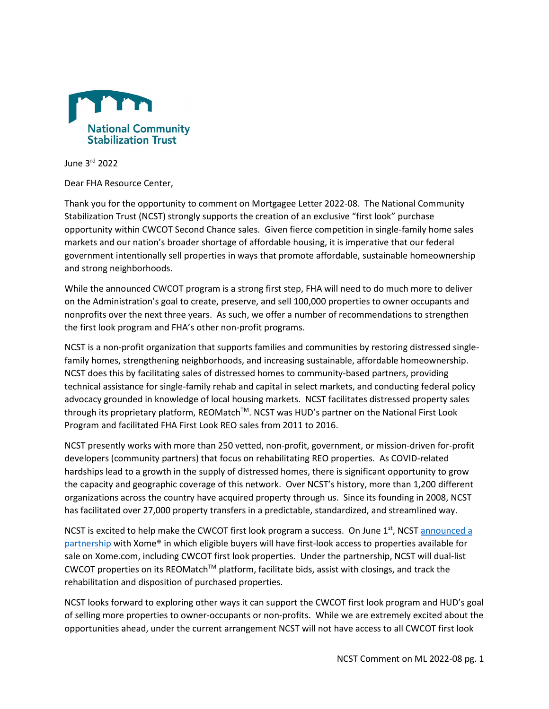

June 3rd 2022

Dear FHA Resource Center,

Thank you for the opportunity to comment on Mortgagee Letter 2022-08. The National Community Stabilization Trust (NCST) strongly supports the creation of an exclusive "first look" purchase opportunity within CWCOT Second Chance sales. Given fierce competition in single-family home sales markets and our nation's broader shortage of affordable housing, it is imperative that our federal government intentionally sell properties in ways that promote affordable, sustainable homeownership and strong neighborhoods.

While the announced CWCOT program is a strong first step, FHA will need to do much more to deliver on the Administration's goal to create, preserve, and sell 100,000 properties to owner occupants and nonprofits over the next three years. As such, we offer a number of recommendations to strengthen the first look program and FHA's other non-profit programs.

NCST is a non-profit organization that supports families and communities by restoring distressed singlefamily homes, strengthening neighborhoods, and increasing sustainable, affordable homeownership. NCST does this by facilitating sales of distressed homes to community-based partners, providing technical assistance for single-family rehab and capital in select markets, and conducting federal policy advocacy grounded in knowledge of local housing markets. NCST facilitates distressed property sales through its proprietary platform, REOMatch™. NCST was HUD's partner on the National First Look Program and facilitated FHA First Look REO sales from 2011 to 2016.

NCST presently works with more than 250 vetted, non-profit, government, or mission-driven for-profit developers (community partners) that focus on rehabilitating REO properties. As COVID-related hardships lead to a growth in the supply of distressed homes, there is significant opportunity to grow the capacity and geographic coverage of this network. Over NCST's history, more than 1,200 different organizations across the country have acquired property through us. Since its founding in 2008, NCST has facilitated over 27,000 property transfers in a predictable, standardized, and streamlined way.

NCST is excited to help make the CWCOT first look program a success. On June  $1<sup>st</sup>$ , NCST announced a [partnership](https://www.businesswire.com/news/home/20220601005400/en/Xome%C2%AE-Joins-with-the-National-Community-Stabilization-Trust-to-Expand-Access-to-Affordable-Housing) with Xome® in which eligible buyers will have first-look access to properties available for sale on Xome.com, including CWCOT first look properties. Under the partnership, NCST will dual-list CWCOT properties on its REOMatch<sup>TM</sup> platform, facilitate bids, assist with closings, and track the rehabilitation and disposition of purchased properties.

NCST looks forward to exploring other ways it can support the CWCOT first look program and HUD's goal of selling more properties to owner-occupants or non-profits. While we are extremely excited about the opportunities ahead, under the current arrangement NCST will not have access to all CWCOT first look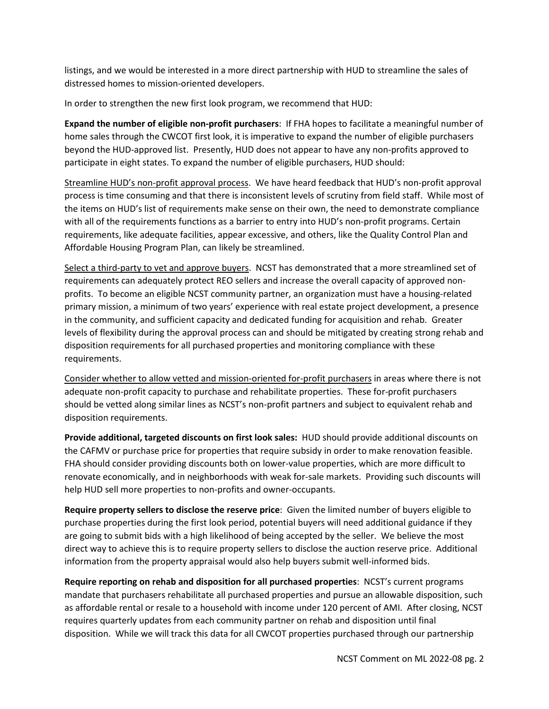listings, and we would be interested in a more direct partnership with HUD to streamline the sales of distressed homes to mission-oriented developers.

In order to strengthen the new first look program, we recommend that HUD:

**Expand the number of eligible non-profit purchasers**: If FHA hopes to facilitate a meaningful number of home sales through the CWCOT first look, it is imperative to expand the number of eligible purchasers beyond the HUD-approved list. Presently, HUD does not appear to have any non-profits approved to participate in eight states. To expand the number of eligible purchasers, HUD should:

Streamline HUD's non-profit approval process. We have heard feedback that HUD's non-profit approval process is time consuming and that there is inconsistent levels of scrutiny from field staff. While most of the items on HUD's list of requirements make sense on their own, the need to demonstrate compliance with all of the requirements functions as a barrier to entry into HUD's non-profit programs. Certain requirements, like adequate facilities, appear excessive, and others, like the Quality Control Plan and Affordable Housing Program Plan, can likely be streamlined.

Select a third-party to vet and approve buyers. NCST has demonstrated that a more streamlined set of requirements can adequately protect REO sellers and increase the overall capacity of approved nonprofits. To become an eligible NCST community partner, an organization must have a housing-related primary mission, a minimum of two years' experience with real estate project development, a presence in the community, and sufficient capacity and dedicated funding for acquisition and rehab. Greater levels of flexibility during the approval process can and should be mitigated by creating strong rehab and disposition requirements for all purchased properties and monitoring compliance with these requirements.

Consider whether to allow vetted and mission-oriented for-profit purchasers in areas where there is not adequate non-profit capacity to purchase and rehabilitate properties. These for-profit purchasers should be vetted along similar lines as NCST's non-profit partners and subject to equivalent rehab and disposition requirements.

**Provide additional, targeted discounts on first look sales:** HUD should provide additional discounts on the CAFMV or purchase price for properties that require subsidy in order to make renovation feasible. FHA should consider providing discounts both on lower-value properties, which are more difficult to renovate economically, and in neighborhoods with weak for-sale markets. Providing such discounts will help HUD sell more properties to non-profits and owner-occupants.

**Require property sellers to disclose the reserve price**: Given the limited number of buyers eligible to purchase properties during the first look period, potential buyers will need additional guidance if they are going to submit bids with a high likelihood of being accepted by the seller. We believe the most direct way to achieve this is to require property sellers to disclose the auction reserve price. Additional information from the property appraisal would also help buyers submit well-informed bids.

**Require reporting on rehab and disposition for all purchased properties**: NCST's current programs mandate that purchasers rehabilitate all purchased properties and pursue an allowable disposition, such as affordable rental or resale to a household with income under 120 percent of AMI. After closing, NCST requires quarterly updates from each community partner on rehab and disposition until final disposition. While we will track this data for all CWCOT properties purchased through our partnership